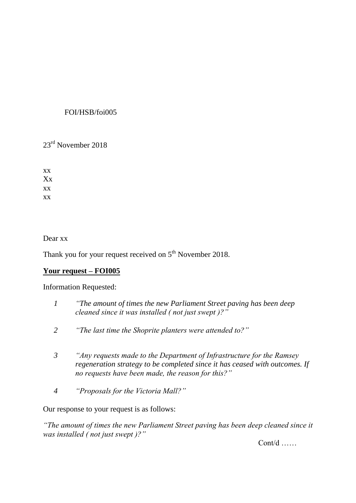# FOI/HSB/foi005

23rd November 2018

xx Xx xx xx

Dear xx

Thank you for your request received on 5<sup>th</sup> November 2018.

# **Your request – FOI005**

Information Requested:

- *1 "The amount of times the new Parliament Street paving has been deep cleaned since it was installed ( not just swept )?"*
- *2 "The last time the Shoprite planters were attended to?"*
- *3 "Any requests made to the Department of Infrastructure for the Ramsey regeneration strategy to be completed since it has ceased with outcomes. If no requests have been made, the reason for this?"*
- *4 "Proposals for the Victoria Mall?"*

Our response to your request is as follows:

*"The amount of times the new Parliament Street paving has been deep cleaned since it was installed ( not just swept )?"*

 $Cont/d$  ……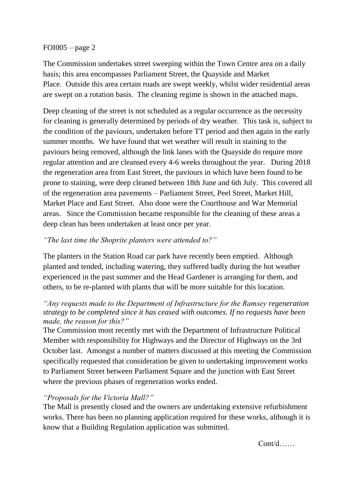### FOI005 – page 2

The Commission undertakes street sweeping within the Town Centre area on a daily basis; this area encompasses Parliament Street, the Quayside and Market Place. Outside this area certain roads are swept weekly, whilst wider residential areas are swept on a rotation basis. The cleaning regime is shown in the attached maps.

Deep cleaning of the street is not scheduled as a regular occurrence as the necessity for cleaning is generally determined by periods of dry weather. This task is, subject to the condition of the paviours, undertaken before TT period and then again in the early summer months. We have found that wet weather will result in staining to the paviours being removed, although the link lanes with the Quayside do require more regular attention and are cleansed every 4-6 weeks throughout the year. During 2018 the regeneration area from East Street, the paviours in which have been found to be prone to staining, were deep cleaned between 18th June and 6th July. This covered all of the regeneration area pavements – Parliament Street, Peel Street, Market Hill, Market Place and East Street. Also done were the Courthouse and War Memorial areas. Since the Commission became responsible for the cleaning of these areas a deep clean has been undertaken at least once per year.

## *"The last time the Shoprite planters were attended to?"*

The planters in the Station Road car park have recently been emptied. Although planted and tended, including watering, they suffered badly during the hot weather experienced in the past summer and the Head Gardener is arranging for them, and others, to be re-planted with plants that will be more suitable for this location.

## *"Any requests made to the Department of Infrastructure for the Ramsey regeneration strategy to be completed since it has ceased with outcomes. If no requests have been made, the reason for this?"*

The Commission most recently met with the Department of Infrastructure Political Member with responsibility for Highways and the Director of Highways on the 3rd October last. Amongst a number of matters discussed at this meeting the Commission specifically requested that consideration be given to undertaking improvement works to Parliament Street between Parliament Square and the junction with East Street where the previous phases of regeneration works ended.

### *"Proposals for the Victoria Mall?"*

The Mall is presently closed and the owners are undertaking extensive refurbishment works. There has been no planning application required for these works, although it is know that a Building Regulation application was submitted.

 $Cont/d$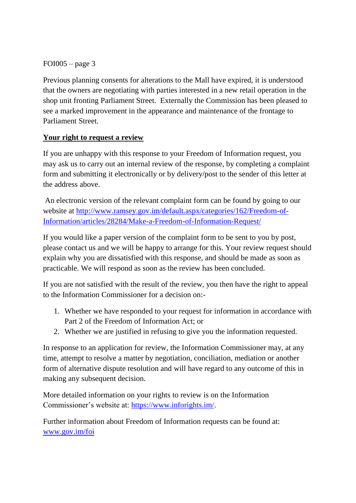$FOI005 - page 3$ 

Previous planning consents for alterations to the Mall have expired, it is understood that the owners are negotiating with parties interested in a new retail operation in the shop unit fronting Parliament Street. Externally the Commission has been pleased to see a marked improvement in the appearance and maintenance of the frontage to Parliament Street.

# **Your right to request a review**

If you are unhappy with this response to your Freedom of Information request, you may ask us to carry out an internal review of the response, by completing a complaint form and submitting it electronically or by delivery/post to the sender of this letter at the address above.

An electronic version of the relevant complaint form can be found by going to our website at [http://www.ramsey.gov.im/default.aspx/categories/162/Freedom-of-](http://www.ramsey.gov.im/default.aspx/categories/162/Freedom-of-Information/articles/28284/Make-a-Freedom-of-Information-Request/)[Information/articles/28284/Make-a-Freedom-of-Information-Request/](http://www.ramsey.gov.im/default.aspx/categories/162/Freedom-of-Information/articles/28284/Make-a-Freedom-of-Information-Request/)

If you would like a paper version of the complaint form to be sent to you by post, please contact us and we will be happy to arrange for this. Your review request should explain why you are dissatisfied with this response, and should be made as soon as practicable. We will respond as soon as the review has been concluded.

If you are not satisfied with the result of the review, you then have the right to appeal to the Information Commissioner for a decision on:-

- 1. Whether we have responded to your request for information in accordance with Part 2 of the Freedom of Information Act; or
- 2. Whether we are justified in refusing to give you the information requested.

In response to an application for review, the Information Commissioner may, at any time, attempt to resolve a matter by negotiation, conciliation, mediation or another form of alternative dispute resolution and will have regard to any outcome of this in making any subsequent decision.

More detailed information on your rights to review is on the Information Commissioner's website at: [https://www.inforights.im/.](https://www.inforights.im/)

Further information about Freedom of Information requests can be found at: [www.gov.im/foi](http://www.gov.im/foi)